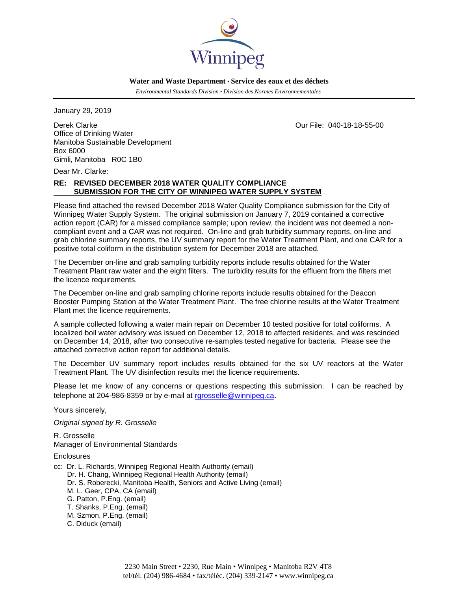

 **Water and Waste Department • Service des eaux et des déchets**

 *Environmental Standards Division • Division des Normes Environnementales*

January 29, 2019

Derek Clarke Our File: 040-18-18-55-00 Office of Drinking Water Manitoba Sustainable Development Box 6000 Gimli, Manitoba R0C 1B0

Dear Mr. Clarke:

# **RE: REVISED DECEMBER 2018 WATER QUALITY COMPLIANCE SUBMISSION FOR THE CITY OF WINNIPEG WATER SUPPLY SYSTEM**

Please find attached the revised December 2018 Water Quality Compliance submission for the City of Winnipeg Water Supply System. The original submission on January 7, 2019 contained a corrective action report (CAR) for a missed compliance sample; upon review, the incident was not deemed a noncompliant event and a CAR was not required. On-line and grab turbidity summary reports, on-line and grab chlorine summary reports, the UV summary report for the Water Treatment Plant, and one CAR for a positive total coliform in the distribution system for December 2018 are attached.

The December on-line and grab sampling turbidity reports include results obtained for the Water Treatment Plant raw water and the eight filters. The turbidity results for the effluent from the filters met the licence requirements.

The December on-line and grab sampling chlorine reports include results obtained for the Deacon Booster Pumping Station at the Water Treatment Plant. The free chlorine results at the Water Treatment Plant met the licence requirements.

A sample collected following a water main repair on December 10 tested positive for total coliforms. A localized boil water advisory was issued on December 12, 2018 to affected residents, and was rescinded on December 14, 2018, after two consecutive re-samples tested negative for bacteria. Please see the attached corrective action report for additional details.

The December UV summary report includes results obtained for the six UV reactors at the Water Treatment Plant. The UV disinfection results met the licence requirements.

Please let me know of any concerns or questions respecting this submission. I can be reached by telephone at 204-986-8359 or by e-mail at [rgrosselle@winnipeg.ca](mailto:rgrosselle@winnipeg.ca).

Yours sincerely,

*Original signed by R. Grosselle:*

R. Grosselle Manager of Environmental Standards

**Enclosures** 

- cc: Dr. L. Richards, Winnipeg Regional Health Authority (email)
	- Dr. H. Chang, Winnipeg Regional Health Authority (email)
	- Dr. S. Roberecki, Manitoba Health, Seniors and Active Living (email)
	- M. L. Geer, CPA, CA (email)
	- G. Patton, P.Eng. (email)
	- T. Shanks, P.Eng. (email)
	- M. Szmon, P.Eng. (email)
	- C. Diduck (email)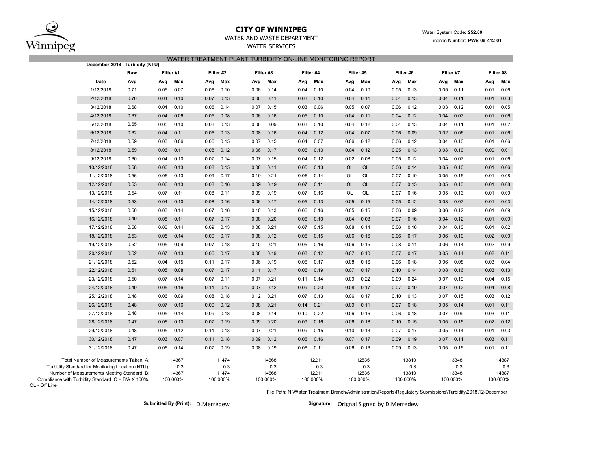

## **CITY OF WINNIPEG**WATER AND WASTE DEPARTMENT

# WATER SERVICES WATER TREATMENT PLANT TURBIDITY ON-LINE MONITORING REPORT

| December 2018 Turbidity (NTU)                                                               |      |      |              |      |              |           |              |      |              |           |              |      |              |      |              |      |              |
|---------------------------------------------------------------------------------------------|------|------|--------------|------|--------------|-----------|--------------|------|--------------|-----------|--------------|------|--------------|------|--------------|------|--------------|
|                                                                                             | Raw  |      | Filter #1    |      | Filter #2    | Filter #3 |              |      | Filter #4    |           | Filter #5    |      | Filter #6    |      | Filter #7    |      | Filter #8    |
| Date                                                                                        | Avg  | Avg  | Max          | Avg  | Max          | Avg       | Max          | Avg  | Max          | Avg       | Max          | Avg  | Max          | Avg  | Max          | Avg  | Max          |
| 1/12/2018                                                                                   | 0.71 | 0.05 | 0.07         | 0.06 | 0.10         | 0.06      | 0.14         | 0.04 | 0.10         | 0.04      | 0.10         | 0.05 | 0.13         | 0.05 | 0.11         | 0.01 | 0.06         |
| 2/12/2018                                                                                   | 0.70 | 0.04 | 0.10         | 0.07 | 0.13         | 0.06      | 0.11         | 0.03 | 0.10         | 0.04      | 0.11         | 0.04 | 0.13         | 0.04 | 0.11         | 0.01 | 0.03         |
| 3/12/2018                                                                                   | 0.68 | 0.04 | 0.10         | 0.06 | 0.14         | 0.07      | 0.15         | 0.03 | 0.06         | 0.05      | 0.07         | 0.06 | 0.12         | 0.03 | 0.12         | 0.01 | 0.05         |
| 4/12/2018                                                                                   | 0.67 | 0.04 | 0.06         | 0.05 | 0.08         | 0.06      | 0.16         | 0.05 | 0.10         | 0.04      | 0.11         | 0.04 | 0.12         | 0.04 | 0.07         | 0.01 | 0.06         |
| 5/12/2018                                                                                   | 0.65 | 0.05 | 0.10         | 0.08 | 0.13         | 0.06      | 0.09         | 0.03 | 0.10         | 0.04      | 0.12         | 0.04 | 0.13         | 0.04 | 0.11         | 0.01 | 0.02         |
| 6/12/2018                                                                                   | 0.62 | 0.04 | 0.11         | 0.06 | 0.13         | 0.08      | 0.16         | 0.04 | 0.12         | 0.04      | 0.07         | 0.06 | 0.09         | 0.02 | 0.06         | 0.01 | 0.06         |
| 7/12/2018                                                                                   | 0.59 | 0.03 | 0.06         | 0.06 | 0.15         | 0.07      | 0.15         | 0.04 | 0.07         | 0.06      | 0.12         | 0.06 | 0.12         | 0.04 | 0.10         | 0.01 | 0.06         |
| 8/12/2018                                                                                   | 0.59 | 0.06 | 0.11         | 0.08 | 0.12         | 0.06      | 0.17         | 0.06 | 0.13         | 0.04      | 0.12         | 0.05 | 0.13         | 0.03 | 0.10         | 0.00 | 0.01         |
| 9/12/2018                                                                                   | 0.60 | 0.04 | 0.10         | 0.07 | 0.14         | 0.07      | 0.15         | 0.04 | 0.12         | 0.02      | 0.08         | 0.05 | 0.12         | 0.04 | 0.07         | 0.01 | 0.06         |
| 10/12/2018                                                                                  | 0.58 | 0.06 | 0.13         | 0.08 | 0.15         | 0.08      | 0.11         | 0.05 | 0.13         | <b>OL</b> | <b>OL</b>    | 0.06 | 0.14         | 0.05 | 0.10         | 0.01 | 0.06         |
| 11/12/2018                                                                                  | 0.56 | 0.06 | 0.13         | 0.09 | 0.17         | 0.10      | 0.21         | 0.06 | 0.14         | OL        | OL           | 0.07 | 0.10         | 0.05 | 0.15         | 0.01 | 0.08         |
| 12/12/2018                                                                                  | 0.55 | 0.06 | 0.13         | 0.08 | 0.16         | 0.09      | 0.19         | 0.07 | 0.11         | OL        | OL           | 0.07 | 0.15         | 0.05 | 0.13         | 0.01 | 0.08         |
| 13/12/2018                                                                                  | 0.54 | 0.07 | 0.11         | 0.08 | 0.11         | 0.09      | 0.19         | 0.07 | 0.16         | OL        | <b>OL</b>    | 0.07 | 0.16         | 0.05 | 0.13         | 0.01 | 0.09         |
| 14/12/2018                                                                                  | 0.53 | 0.04 | 0.10         | 0.08 | 0.16         | 0.06      | 0.17         | 0.05 | 0.13         | 0.05      | 0.15         | 0.05 | 0.12         | 0.03 | 0.07         | 0.01 | 0.03         |
| 15/12/2018                                                                                  | 0.50 | 0.03 | 0.14         | 0.07 | 0.16         | 0.10      | 0.13         | 0.06 | 0.16         | 0.05      | 0.15         | 0.06 | 0.09         | 0.06 | 0.12         | 0.01 | 0.09         |
| 16/12/2018                                                                                  | 0.49 | 0.08 | 0.11         | 0.07 | 0.17         | 0.08      | 0.20         | 0.06 | 0.10         | 0.04      | 0.08         | 0.07 | 0.16         | 0.04 | 0.12         | 0.01 | 0.09         |
| 17/12/2018                                                                                  | 0.58 | 0.06 | 0.14         | 0.09 | 0.13         | 0.08      | 0.21         | 0.07 | 0.15         | 0.08      | 0.14         | 0.06 | 0.16         | 0.04 | 0.13         | 0.01 | 0.02         |
| 18/12/2018                                                                                  | 0.53 | 0.05 | 0.14         | 0.09 | 0.17         | 0.08      | 0.12         | 0.06 | 0.15         | 0.06      | 0.16         | 0.06 | 0.17         | 0.06 | 0.10         | 0.02 | 0.09         |
| 19/12/2018                                                                                  | 0.52 | 0.05 | 0.09         | 0.07 | 0.18         | 0.10      | 0.21         | 0.05 | 0.16         | 0.06      | 0.15         | 0.08 | 0.11         | 0.06 | 0.14         | 0.02 | 0.09         |
| 20/12/2018                                                                                  | 0.52 | 0.07 | 0.13         | 0.06 | 0.17         | 0.08      | 0.19         | 0.08 | 0.12         | 0.07      | 0.10         | 0.07 | 0.17         | 0.05 | 0.14         | 0.02 | 0.11         |
| 21/12/2018                                                                                  | 0.52 | 0.04 | 0.15         | 0.11 | 0.17         | 0.06      | 0.19         | 0.06 | 0.17         | 0.08      | 0.16         | 0.06 | 0.18         | 0.06 | 0.08         | 0.03 | 0.04         |
| 22/12/2018                                                                                  | 0.51 | 0.05 | 0.08         | 0.07 | 0.17         | 0.11      | 0.17         | 0.06 | 0.19         | 0.07      | 0.17         | 0.10 | 0.14         | 0.08 | 0.16         | 0.03 | 0.13         |
| 23/12/2018                                                                                  | 0.50 | 0.07 | 0.14         | 0.07 | 0.11         | 0.07      | 0.21         | 0.11 | 0.14         | 0.09      | 0.22         | 0.09 | 0.24         | 0.07 | 0.19         | 0.04 | 0.15         |
| 24/12/2018                                                                                  | 0.49 | 0.05 | 0.16         | 0.11 | 0.17         | 0.07      | 0.12         | 0.09 | 0.20         | 0.08      | 0.17         | 0.07 | 0.19         | 0.07 | 0.12         | 0.04 | 0.08         |
| 25/12/2018                                                                                  | 0.48 | 0.06 | 0.09         | 0.08 | 0.18         | 0.12      | 0.21         | 0.07 | 0.13         | 0.06      | 0.17         | 0.10 | 0.13         | 0.07 | 0.15         | 0.03 | 0.12         |
| 26/12/2018                                                                                  | 0.48 | 0.07 | 0.16         | 0.09 | 0.12         | 0.08      | 0.21         | 0.14 | 0.21         | 0.09      | 0.11         | 0.07 | 0.18         | 0.05 | 0.14         | 0.01 | 0.11         |
| 27/12/2018                                                                                  | 0.48 | 0.05 | 0.14         | 0.09 | 0.18         | 0.08      | 0.14         | 0.10 | 0.22         | 0.06      | 0.16         | 0.06 | 0.18         | 0.07 | 0.09         | 0.03 | 0.11         |
| 28/12/2018                                                                                  | 0.47 | 0.06 | 0.10         | 0.07 | 0.19         | 0.09      | 0.20         | 0.09 | 0.16         | 0.06      | 0.18         | 0.10 | 0.15         | 0.05 | 0.15         | 0.02 | 0.12         |
| 29/12/2018                                                                                  | 0.48 | 0.05 | 0.12         | 0.11 | 0.13         | 0.07      | 0.21         | 0.09 | 0.15         | 0.10      | 0.13         | 0.07 | 0.17         | 0.05 | 0.14         | 0.01 | 0.03         |
| 30/12/2018                                                                                  | 0.47 | 0.03 | 0.07         | 0.11 | 0.18         | 0.09      | 0.12         | 0.06 | 0.16         | 0.07      | 0.17         | 0.09 | 0.19         | 0.07 | 0.11         | 0.03 | 0.11         |
| 31/12/2018                                                                                  | 0.47 | 0.06 | 0.14         | 0.07 | 0.19         | 0.08      | 0.19         | 0.06 | 0.11         | 0.06      | 0.16         | 0.09 | 0.13         | 0.05 | 0.15         | 0.01 | 0.11         |
| Total Number of Measurements Taken, A:<br>Turbidity Standard for Monitoring Location (NTU): |      |      | 14367<br>0.3 |      | 11474<br>0.3 |           | 14668<br>0.3 |      | 12211<br>0.3 |           | 12535<br>0.3 |      | 13810<br>0.3 |      | 13348<br>0.3 |      | 14887<br>0.3 |
| Number of Measurements Meeting Standard, B:                                                 |      |      | 14367        |      | 11474        |           | 14668        |      | 12211        |           | 12535        |      | 13810        |      | 13348        |      | 14887        |
| Compliance with Turbidity Standard, C = B/A X 100%:                                         |      |      | 100.000%     |      | 100.000%     |           | 100.000%     |      | 100.000%     |           | 100.000%     |      | 100.000%     |      | 100.000%     |      | 100.000%     |

OL - Off Line

File Path: N:\Water Treatment Branch\Administration\Reports\Regulatory Submissions\Turbidity\2018\12-December

**Submitted By (Print): D.Merredew** 

Signature: Orignal Signed by D.Merredew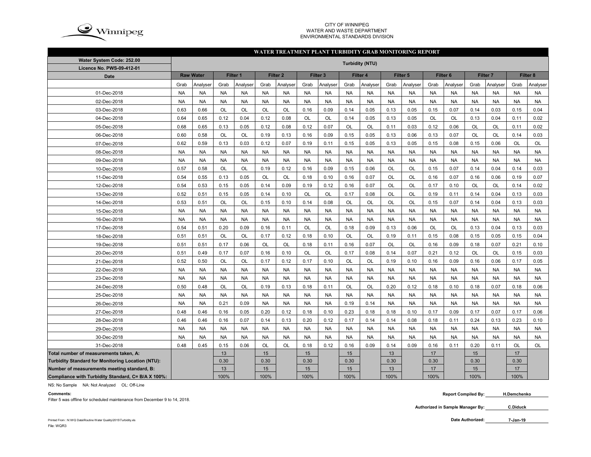

#### CITY OF WINNIPEG WATER AND WASTE DEPARTMENTENVIRONMENTAL STANDARDS DIVISION

#### **WATER TREATMENT PLANT TURBIDITY GRAB MONITORING REPORT**

| Water System Code: 252.00                          | <b>Turbidity (NTU)</b> |                  |           |           |           |                     |           |                     |           |           |           |           |                     |           |           |           |           |           |
|----------------------------------------------------|------------------------|------------------|-----------|-----------|-----------|---------------------|-----------|---------------------|-----------|-----------|-----------|-----------|---------------------|-----------|-----------|-----------|-----------|-----------|
| <b>Licence No. PWS-09-412-01</b>                   |                        |                  |           |           |           |                     |           |                     |           |           |           |           |                     |           |           |           |           |           |
| <b>Date</b>                                        |                        | <b>Raw Water</b> |           | Filter 1  |           | Filter <sub>2</sub> |           | Filter <sub>3</sub> |           | Filter 4  |           | Filter 5  | Filter <sub>6</sub> |           | Filter 7  |           |           | Filter 8  |
|                                                    | Grab                   | Analyser         | Grab      | Analyser  | Grab      | Analyser            | Grab      | Analyser            | Grab      | Analyser  | Grab      | Analyser  | Grab                | Analyser  | Grab      | Analyser  | Grab      | Analyser  |
| 01-Dec-2018                                        | <b>NA</b>              | <b>NA</b>        | <b>NA</b> | <b>NA</b> | <b>NA</b> | <b>NA</b>           | <b>NA</b> | <b>NA</b>           | <b>NA</b> | <b>NA</b> | <b>NA</b> | <b>NA</b> | <b>NA</b>           | <b>NA</b> | <b>NA</b> | <b>NA</b> | <b>NA</b> | <b>NA</b> |
| 02-Dec-2018                                        | <b>NA</b>              | <b>NA</b>        | <b>NA</b> | <b>NA</b> | <b>NA</b> | <b>NA</b>           | <b>NA</b> | <b>NA</b>           | <b>NA</b> | <b>NA</b> | <b>NA</b> | <b>NA</b> | <b>NA</b>           | <b>NA</b> | <b>NA</b> | <b>NA</b> | <b>NA</b> | <b>NA</b> |
| 03-Dec-2018                                        | 0.63                   | 0.66             | OL        | OL        | <b>OL</b> | OL                  | 0.16      | 0.09                | 0.14      | 0.05      | 0.13      | 0.05      | 0.15                | 0.07      | 0.14      | 0.03      | 0.15      | 0.04      |
| 04-Dec-2018                                        | 0.64                   | 0.65             | 0.12      | 0.04      | 0.12      | 0.08                | OL        | OL                  | 0.14      | 0.05      | 0.13      | 0.05      | <b>OL</b>           | <b>OL</b> | 0.13      | 0.04      | 0.11      | 0.02      |
| 05-Dec-2018                                        | 0.68                   | 0.65             | 0.13      | 0.05      | 0.12      | 0.08                | 0.12      | 0.07                | <b>OL</b> | OL        | 0.11      | 0.03      | 0.12                | 0.06      | <b>OL</b> | <b>OL</b> | 0.11      | 0.02      |
| 06-Dec-2018                                        | 0.60                   | 0.58             | OL        | <b>OL</b> | 0.19      | 0.13                | 0.16      | 0.09                | 0.15      | 0.05      | 0.13      | 0.06      | 0.13                | 0.07      | OL        | <b>OL</b> | 0.14      | 0.03      |
| 07-Dec-2018                                        | 0.62                   | 0.59             | 0.13      | 0.03      | 0.12      | 0.07                | 0.19      | 0.11                | 0.15      | 0.05      | 0.13      | 0.05      | 0.15                | 0.08      | 0.15      | 0.06      | OL        | OL        |
| 08-Dec-2018                                        | <b>NA</b>              | <b>NA</b>        | <b>NA</b> | <b>NA</b> | <b>NA</b> | <b>NA</b>           | <b>NA</b> | <b>NA</b>           | <b>NA</b> | <b>NA</b> | <b>NA</b> | <b>NA</b> | <b>NA</b>           | <b>NA</b> | <b>NA</b> | <b>NA</b> | <b>NA</b> | <b>NA</b> |
| 09-Dec-2018                                        | <b>NA</b>              | <b>NA</b>        | <b>NA</b> | <b>NA</b> | <b>NA</b> | <b>NA</b>           | <b>NA</b> | <b>NA</b>           | <b>NA</b> | <b>NA</b> | <b>NA</b> | <b>NA</b> | <b>NA</b>           | <b>NA</b> | <b>NA</b> | <b>NA</b> | <b>NA</b> | <b>NA</b> |
| 10-Dec-2018                                        | 0.57                   | 0.58             | <b>OL</b> | <b>OL</b> | 0.19      | 0.12                | 0.16      | 0.09                | 0.15      | 0.06      | <b>OL</b> | OL        | 0.15                | 0.07      | 0.14      | 0.04      | 0.14      | 0.03      |
| 11-Dec-2018                                        | 0.54                   | 0.55             | 0.13      | 0.05      | OL        | <b>OL</b>           | 0.18      | 0.10                | 0.16      | 0.07      | <b>OL</b> | OL        | 0.16                | 0.07      | 0.16      | 0.06      | 0.19      | 0.07      |
| 12-Dec-2018                                        | 0.54                   | 0.53             | 0.15      | 0.05      | 0.14      | 0.09                | 0.19      | 0.12                | 0.16      | 0.07      | <b>OL</b> | OL        | 0.17                | 0.10      | <b>OL</b> | <b>OL</b> | 0.14      | 0.02      |
| 13-Dec-2018                                        | 0.52                   | 0.51             | 0.15      | 0.05      | 0.14      | 0.10                | OL        | <b>OL</b>           | 0.17      | 0.08      | OL        | OL        | 0.19                | 0.11      | 0.14      | 0.04      | 0.13      | 0.03      |
| 14-Dec-2018                                        | 0.53                   | 0.51             | OL        | OL        | 0.15      | 0.10                | 0.14      | 0.08                | OL        | OL        | OL        | OL        | 0.15                | 0.07      | 0.14      | 0.04      | 0.13      | 0.03      |
| 15-Dec-2018                                        | <b>NA</b>              | <b>NA</b>        | <b>NA</b> | <b>NA</b> | <b>NA</b> | <b>NA</b>           | <b>NA</b> | <b>NA</b>           | <b>NA</b> | <b>NA</b> | <b>NA</b> | <b>NA</b> | <b>NA</b>           | <b>NA</b> | <b>NA</b> | <b>NA</b> | <b>NA</b> | <b>NA</b> |
| 16-Dec-2018                                        | <b>NA</b>              | <b>NA</b>        | <b>NA</b> | <b>NA</b> | <b>NA</b> | <b>NA</b>           | <b>NA</b> | <b>NA</b>           | <b>NA</b> | <b>NA</b> | <b>NA</b> | <b>NA</b> | <b>NA</b>           | <b>NA</b> | <b>NA</b> | <b>NA</b> | <b>NA</b> | <b>NA</b> |
| 17-Dec-2018                                        | 0.54                   | 0.51             | 0.20      | 0.09      | 0.16      | 0.11                | OL        | <b>OL</b>           | 0.18      | 0.09      | 0.13      | 0.06      | OL                  | <b>OL</b> | 0.13      | 0.04      | 0.13      | 0.03      |
| 18-Dec-2018                                        | 0.51                   | 0.51             | OL        | OL        | 0.17      | 0.12                | 0.18      | 0.10                | OL        | OL        | 0.19      | 0.11      | 0.15                | 0.08      | 0.15      | 0.05      | 0.15      | 0.04      |
| 19-Dec-2018                                        | 0.51                   | 0.51             | 0.17      | 0.06      | OL        | OL                  | 0.18      | 0.11                | 0.16      | 0.07      | OL        | OL        | 0.16                | 0.09      | 0.18      | 0.07      | 0.21      | 0.10      |
| 20-Dec-2018                                        | 0.51                   | 0.49             | 0.17      | 0.07      | 0.16      | 0.10                | OL        | OL                  | 0.17      | 0.08      | 0.14      | 0.07      | 0.21                | 0.12      | OL        | OL        | 0.15      | 0.03      |
| 21-Dec-2018                                        | 0.52                   | 0.50             | OL        | OL        | 0.17      | 0.12                | 0.17      | 0.10                | OL        | OL        | 0.19      | 0.10      | 0.16                | 0.09      | 0.16      | 0.06      | 0.17      | 0.05      |
| 22-Dec-2018                                        | <b>NA</b>              | <b>NA</b>        | <b>NA</b> | <b>NA</b> | <b>NA</b> | <b>NA</b>           | <b>NA</b> | <b>NA</b>           | <b>NA</b> | <b>NA</b> | <b>NA</b> | <b>NA</b> | <b>NA</b>           | <b>NA</b> | <b>NA</b> | <b>NA</b> | <b>NA</b> | <b>NA</b> |
| 23-Dec-2018                                        | <b>NA</b>              | <b>NA</b>        | <b>NA</b> | <b>NA</b> | <b>NA</b> | <b>NA</b>           | <b>NA</b> | <b>NA</b>           | <b>NA</b> | <b>NA</b> | <b>NA</b> | <b>NA</b> | <b>NA</b>           | <b>NA</b> | <b>NA</b> | <b>NA</b> | <b>NA</b> | <b>NA</b> |
| 24-Dec-2018                                        | 0.50                   | 0.48             | <b>OL</b> | <b>OL</b> | 0.19      | 0.13                | 0.18      | 0.11                | <b>OL</b> | OL        | 0.20      | 0.12      | 0.18                | 0.10      | 0.18      | 0.07      | 0.18      | 0.06      |
| 25-Dec-2018                                        | <b>NA</b>              | <b>NA</b>        | <b>NA</b> | <b>NA</b> | <b>NA</b> | <b>NA</b>           | <b>NA</b> | <b>NA</b>           | <b>NA</b> | <b>NA</b> | <b>NA</b> | <b>NA</b> | <b>NA</b>           | <b>NA</b> | <b>NA</b> | <b>NA</b> | <b>NA</b> | <b>NA</b> |
| 26-Dec-2018                                        | <b>NA</b>              | <b>NA</b>        | 0.21      | 0.09      | <b>NA</b> | <b>NA</b>           | <b>NA</b> | <b>NA</b>           | 0.19      | 0.14      | <b>NA</b> | <b>NA</b> | <b>NA</b>           | <b>NA</b> | <b>NA</b> | <b>NA</b> | <b>NA</b> | <b>NA</b> |
| 27-Dec-2018                                        | 0.48                   | 0.46             | 0.16      | 0.05      | 0.20      | 0.12                | 0.18      | 0.10                | 0.23      | 0.18      | 0.18      | 0.10      | 0.17                | 0.09      | 0.17      | 0.07      | 0.17      | 0.06      |
| 28-Dec-2018                                        | 0.46                   | 0.46             | 0.16      | 0.07      | 0.14      | 0.13                | 0.20      | 0.12                | 0.17      | 0.14      | 0.14      | 0.08      | 0.18                | 0.11      | 0.24      | 0.13      | 0.23      | 0.10      |
| 29-Dec-2018                                        | <b>NA</b>              | <b>NA</b>        | <b>NA</b> | <b>NA</b> | <b>NA</b> | <b>NA</b>           | <b>NA</b> | <b>NA</b>           | <b>NA</b> | <b>NA</b> | <b>NA</b> | <b>NA</b> | <b>NA</b>           | <b>NA</b> | <b>NA</b> | <b>NA</b> | <b>NA</b> | <b>NA</b> |
| 30-Dec-2018                                        | <b>NA</b>              | <b>NA</b>        | <b>NA</b> | <b>NA</b> | <b>NA</b> | <b>NA</b>           | <b>NA</b> | <b>NA</b>           | <b>NA</b> | <b>NA</b> | <b>NA</b> | <b>NA</b> | <b>NA</b>           | <b>NA</b> | <b>NA</b> | <b>NA</b> | <b>NA</b> | <b>NA</b> |
| 31-Dec-2018                                        | 0.48                   | 0.45             | 0.15      | 0.06      | OL        | OL                  | 0.18      | 0.12                | 0.16      | 0.09      | 0.14      | 0.09      | 0.16                | 0.11      | 0.20      | 0.11      | OL        | OL        |
| Total number of measurements taken, A:             |                        |                  | 13        |           | 15        |                     | 15        |                     | 15        |           | 13        |           | 17                  |           | 15        |           | 17        |           |
| Turbidity Standard for Monitoring Location (NTU):  |                        |                  | 0.30      |           | 0.30      |                     | 0.30      |                     | 0.30      |           | 0.30      |           | 0.30                |           | 0.30      |           | 0.30      |           |
| Number of measurements meeting standard, B:        |                        |                  | 13        |           | 15        |                     | 15        |                     | 15        |           | 13        |           | 17                  |           | 15        |           | 17        |           |
| Compliance with Turbidity Standard, C= B/A X 100%: |                        |                  | 100%      |           | 100%      |                     | 100%      |                     | 100%      |           | 100%      |           | 100%                |           | 100%      |           | 100%      |           |

NS: No Sample NA: Not Analyzed OL: Off-Line

#### **Comments:**

Filter 5 was offline for scheduled maintenance from December 9 to 14, 2018.

**7-Jan-19**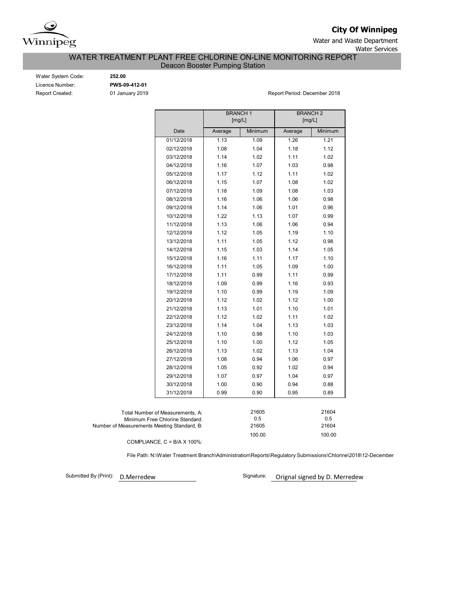

**City Of Winnipeg**

Water and Waste Department

Water Services

## WATER TREATMENT PLANT FREE CHLORINE ON-LINE MONITORING REPORT Deacon Booster Pumping Station

Water System Code: **252.00** Licence Number: **PWS-09-412-01**

Report Created: 01 January 2019 **Report Period: December 2018** Report Period: December 2018

|                                             |                                  | <b>BRANCH1</b> |         | <b>BRANCH2</b> |         |
|---------------------------------------------|----------------------------------|----------------|---------|----------------|---------|
|                                             |                                  | [mg/L]         |         | [mg/L]         |         |
|                                             | Date                             | Average        | Minimum | Average        | Minimum |
|                                             | 01/12/2018                       | 1.13           | 1.09    | 1.26           | 1.21    |
|                                             | 02/12/2018                       | 1.08           | 1.04    | 1.18           | 1.12    |
|                                             | 03/12/2018                       | 1.14           | 1.02    | 1.11           | 1.02    |
|                                             | 04/12/2018                       | 1.16           | 1.07    | 1.03           | 0.98    |
|                                             | 05/12/2018                       | 1.17           | 1.12    | 1.11           | 1.02    |
|                                             | 06/12/2018                       | 1.15           | 1.07    | 1.08           | 1.02    |
|                                             | 07/12/2018                       | 1.18           | 1.09    | 1.08           | 1.03    |
|                                             | 08/12/2018                       | 1.16           | 1.06    | 1.06           | 0.98    |
|                                             | 09/12/2018                       | 1.14           | 1.06    | 1.01           | 0.96    |
|                                             | 10/12/2018                       | 1.22           | 1.13    | 1.07           | 0.99    |
|                                             | 11/12/2018                       | 1.13           | 1.06    | 1.06           | 0.94    |
|                                             | 12/12/2018                       | 1.12           | 1.05    | 1.19           | 1.10    |
|                                             | 13/12/2018                       | 1.11           | 1.05    | 1.12           | 0.98    |
|                                             | 14/12/2018                       | 1.15           | 1.03    | 1.14           | 1.05    |
|                                             | 15/12/2018                       | 1.16           | 1.11    | 1.17           | 1.10    |
|                                             | 16/12/2018                       | 1.11           | 1.05    | 1.09           | 1.00    |
|                                             | 17/12/2018                       | 1.11           | 0.99    | 1.11           | 0.99    |
|                                             | 18/12/2018                       | 1.09           | 0.99    | 1.16           | 0.93    |
|                                             | 19/12/2018                       | 1.10           | 0.99    | 1.19           | 1.09    |
|                                             | 20/12/2018                       | 1.12           | 1.02    | 1.12           | 1.00    |
|                                             | 21/12/2018                       | 1.13           | 1.01    | 1.10           | 1.01    |
|                                             | 22/12/2018                       | 1.12           | 1.02    | 1.11           | 1.02    |
|                                             | 23/12/2018                       | 1.14           | 1.04    | 1.13           | 1.03    |
|                                             | 24/12/2018                       | 1.10           | 0.98    | 1.10           | 1.03    |
|                                             | 25/12/2018                       | 1.10           | 1.00    | 1.12           | 1.05    |
|                                             | 26/12/2018                       | 1.13           | 1.02    | 1.13           | 1.04    |
|                                             | 27/12/2018                       | 1.08           | 0.94    | 1.06           | 0.97    |
|                                             | 28/12/2018                       | 1.05           | 0.92    | 1.02           | 0.94    |
|                                             | 29/12/2018                       | 1.07           | 0.97    | 1.04           | 0.97    |
|                                             | 30/12/2018                       | 1.00           | 0.90    | 0.94           | 0.88    |
|                                             | 31/12/2018                       | 0.99           | 0.90    | 0.95           | 0.89    |
|                                             |                                  |                |         |                |         |
|                                             | Total Number of Measurements, A: |                | 21605   |                | 21604   |
|                                             | Minimum Free Chlorine Standard:  |                | 0.5     |                | 0.5     |
| Number of Measurements Meeting Standard, B: |                                  |                | 21605   |                | 21604   |
|                                             |                                  |                | 100.00  |                | 100.00  |

COMPLIANCE,  $C = B/A \times 100\%$ :

File Path: N:\Water Treatment Branch\Administration\Reports\Regulatory Submissions\Chlorine\2018\12-December

Submitted By (Print): D. Merredew

Signature: Orignal signed by D. Merredew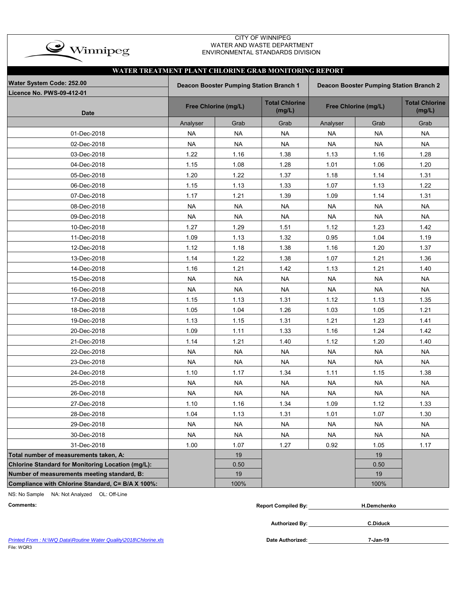

## CITY OF WINNIPEG WATER AND WASTE DEPARTMENT ENVIRONMENTAL STANDARDS DIVISION

| WATER TREATMENT PLANT CHLORINE GRAB MONITORING REPORT  |                                                                                    |                      |                                 |                      |                                 |           |  |  |  |  |  |  |  |
|--------------------------------------------------------|------------------------------------------------------------------------------------|----------------------|---------------------------------|----------------------|---------------------------------|-----------|--|--|--|--|--|--|--|
| Water System Code: 252.00<br>Licence No. PWS-09-412-01 | Deacon Booster Pumping Station Branch 1<br>Deacon Booster Pumping Station Branch 2 |                      |                                 |                      |                                 |           |  |  |  |  |  |  |  |
| <b>Date</b>                                            |                                                                                    | Free Chlorine (mg/L) | <b>Total Chlorine</b><br>(mg/L) | Free Chlorine (mg/L) | <b>Total Chlorine</b><br>(mg/L) |           |  |  |  |  |  |  |  |
|                                                        | Analyser                                                                           | Grab                 | Grab                            | Analyser             | Grab                            | Grab      |  |  |  |  |  |  |  |
| 01-Dec-2018                                            | <b>NA</b>                                                                          | <b>NA</b>            | <b>NA</b>                       | <b>NA</b>            | <b>NA</b>                       | <b>NA</b> |  |  |  |  |  |  |  |
| 02-Dec-2018                                            | <b>NA</b>                                                                          | <b>NA</b>            | <b>NA</b>                       | <b>NA</b>            | <b>NA</b>                       | <b>NA</b> |  |  |  |  |  |  |  |
| 03-Dec-2018                                            | 1.22                                                                               | 1.16                 | 1.38                            | 1.13                 | 1.16                            | 1.28      |  |  |  |  |  |  |  |
| 04-Dec-2018                                            | 1.15                                                                               | 1.08                 | 1.28                            | 1.01                 | 1.06                            | 1.20      |  |  |  |  |  |  |  |
| 05-Dec-2018                                            | 1.20                                                                               | 1.22                 | 1.37                            | 1.18                 | 1.14                            | 1.31      |  |  |  |  |  |  |  |
| 06-Dec-2018                                            | 1.15                                                                               | 1.13                 | 1.33                            | 1.07                 | 1.13                            | 1.22      |  |  |  |  |  |  |  |
| 07-Dec-2018                                            | 1.17                                                                               | 1.21                 | 1.39                            | 1.09                 | 1.14                            | 1.31      |  |  |  |  |  |  |  |
| 08-Dec-2018                                            | <b>NA</b>                                                                          | <b>NA</b>            | <b>NA</b>                       | <b>NA</b>            | <b>NA</b>                       | <b>NA</b> |  |  |  |  |  |  |  |
| 09-Dec-2018                                            | <b>NA</b>                                                                          | <b>NA</b>            | <b>NA</b>                       | <b>NA</b>            | <b>NA</b>                       | <b>NA</b> |  |  |  |  |  |  |  |
| 10-Dec-2018                                            | 1.27                                                                               | 1.29                 | 1.51                            | 1.12                 | 1.23                            | 1.42      |  |  |  |  |  |  |  |
| 11-Dec-2018                                            | 1.09                                                                               | 1.13                 | 1.32                            | 0.95                 | 1.04                            | 1.19      |  |  |  |  |  |  |  |
| 12-Dec-2018                                            | 1.12                                                                               | 1.18                 | 1.38                            | 1.16                 | 1.20                            | 1.37      |  |  |  |  |  |  |  |
| 13-Dec-2018                                            | 1.14                                                                               | 1.22                 | 1.38                            | 1.07                 | 1.21                            | 1.36      |  |  |  |  |  |  |  |
| 14-Dec-2018                                            | 1.16                                                                               | 1.21                 | 1.42                            | 1.13                 | 1.21                            | 1.40      |  |  |  |  |  |  |  |
| 15-Dec-2018                                            | <b>NA</b>                                                                          | <b>NA</b>            | <b>NA</b>                       | <b>NA</b>            | <b>NA</b>                       | <b>NA</b> |  |  |  |  |  |  |  |
| 16-Dec-2018                                            | <b>NA</b>                                                                          | <b>NA</b>            | <b>NA</b>                       | <b>NA</b>            | <b>NA</b>                       | <b>NA</b> |  |  |  |  |  |  |  |
| 17-Dec-2018                                            | 1.15                                                                               | 1.13                 | 1.31                            | 1.12                 | 1.13                            | 1.35      |  |  |  |  |  |  |  |
| 18-Dec-2018                                            | 1.05                                                                               | 1.04                 | 1.26                            | 1.03                 | 1.05                            | 1.21      |  |  |  |  |  |  |  |
| 19-Dec-2018                                            | 1.13                                                                               | 1.15                 | 1.31                            | 1.21                 | 1.23                            | 1.41      |  |  |  |  |  |  |  |
| 20-Dec-2018                                            | 1.09                                                                               | 1.11                 | 1.33                            | 1.16                 | 1.24                            | 1.42      |  |  |  |  |  |  |  |
| 21-Dec-2018                                            | 1.14                                                                               | 1.21                 | 1.40                            | 1.12                 | 1.20                            | 1.40      |  |  |  |  |  |  |  |
| 22-Dec-2018                                            | <b>NA</b>                                                                          | <b>NA</b>            | <b>NA</b>                       | <b>NA</b>            | <b>NA</b>                       | <b>NA</b> |  |  |  |  |  |  |  |
| 23-Dec-2018                                            | <b>NA</b>                                                                          | <b>NA</b>            | <b>NA</b>                       | <b>NA</b>            | <b>NA</b>                       | <b>NA</b> |  |  |  |  |  |  |  |
| 24-Dec-2018                                            | 1.10                                                                               | 1.17                 | 1.34                            | 1.11                 | 1.15                            | 1.38      |  |  |  |  |  |  |  |
| 25-Dec-2018                                            | <b>NA</b>                                                                          | <b>NA</b>            | <b>NA</b>                       | <b>NA</b>            | <b>NA</b>                       | <b>NA</b> |  |  |  |  |  |  |  |
| 26-Dec-2018                                            | <b>NA</b>                                                                          | <b>NA</b>            | <b>NA</b>                       | <b>NA</b>            | <b>NA</b>                       | <b>NA</b> |  |  |  |  |  |  |  |
| 27-Dec-2018                                            | 1.10                                                                               | 1.16                 | 1.34                            | 1.09                 | 1.12                            | 1.33      |  |  |  |  |  |  |  |
| 28-Dec-2018                                            | 1.04                                                                               | 1.13                 | 1.31                            | 1.01                 | 1.07                            | 1.30      |  |  |  |  |  |  |  |
| 29-Dec-2018                                            | <b>NA</b>                                                                          | <b>NA</b>            | <b>NA</b>                       | <b>NA</b>            | <b>NA</b>                       | <b>NA</b> |  |  |  |  |  |  |  |
| 30-Dec-2018                                            | <b>NA</b>                                                                          | <b>NA</b>            | <b>NA</b>                       | <b>NA</b>            | <b>NA</b>                       | <b>NA</b> |  |  |  |  |  |  |  |
| 31-Dec-2018                                            | 1.00                                                                               | 1.07                 | 1.27                            | 0.92                 | 1.05                            | 1.17      |  |  |  |  |  |  |  |
| Total number of measurements taken, A:                 |                                                                                    | 19                   |                                 |                      | 19                              |           |  |  |  |  |  |  |  |
| Chlorine Standard for Monitoring Location (mg/L):      |                                                                                    | 0.50                 |                                 |                      | 0.50                            |           |  |  |  |  |  |  |  |
| Number of measurements meeting standard, B:            |                                                                                    | 19                   |                                 |                      | 19                              |           |  |  |  |  |  |  |  |
| Compliance with Chlorine Standard, C= B/A X 100%:      |                                                                                    | 100%                 |                                 |                      | 100%                            |           |  |  |  |  |  |  |  |

NS: No Sample NA: Not Analyzed OL: Off-Line

|          | Renor        | <b>Temchenko</b> |  |
|----------|--------------|------------------|--|
| Comments | Compiled By: | .                |  |

**Authorized By:**

*Printed From : N:\WQ Data\Routine Water Quality\2018\Chlorine.xls* **Date Authorized:** File: WQR3

**7-Jan-19**

**C.Diduck**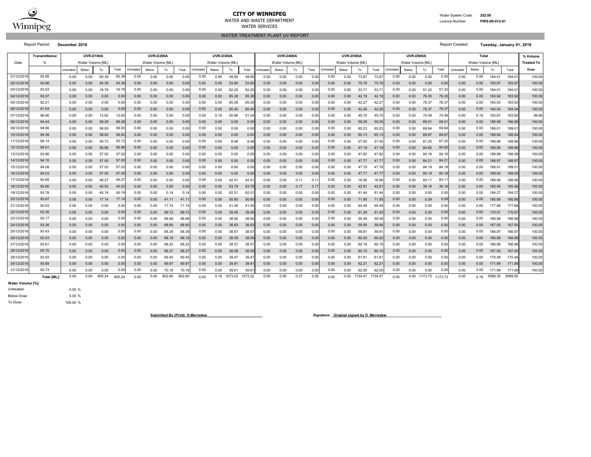

### **CITY OF WINNIPEG**WATER AND WASTE DEPARTMENT

 Water System Code: **252.00** Licence Number:**PWS-09-412-01**

## WATER TREATMENT PLANT UV REPORT WATER SERVICES

Report Period: **December 2018** Report Created: **Tuesday, January 01, 2019**

|            | Transmittance      |                 | <b>UVR-D100A</b> |        |        |          | <b>UVR-D200A</b>  |        |        | <b>UVR-D300A</b> |                   |         |         | <b>UVR-D400A</b> |                  |      |       |                  | <b>UVR-D500A</b> |         |         |                   | UVR-D600A |         |         |                   | % Volume |         |         |                   |
|------------|--------------------|-----------------|------------------|--------|--------|----------|-------------------|--------|--------|------------------|-------------------|---------|---------|------------------|------------------|------|-------|------------------|------------------|---------|---------|-------------------|-----------|---------|---------|-------------------|----------|---------|---------|-------------------|
| Date       |                    |                 | Water Volume IML |        |        |          | Water Volume [ML] |        |        |                  | Water Volume [ML] |         |         |                  | Water Volume IML |      |       |                  | Water Volume IML |         |         | Water Volume [ML] |           |         |         | Water Volume [ML] |          |         |         | <b>Treated To</b> |
|            |                    | <b>Untreate</b> | Below            | To     | Total  | Intreate | Below             | То     | Total  | Jntreated        | Below             | То      | Total   | <b>Jntreate</b>  | Below            | To   | Total | <b>Jntreated</b> | Below            | To      | Total   | <b>Jntreated</b>  | Below     | To      | Total   | Untreated         | Below    | To      | Total   | Dose              |
| 01/12/2018 | 93.95              | 0.00            | 0.00             | 60.39  | 60.39  | 0.00     | 0.00              | 0.00   | 0.00   | 0.00             | 0.00              | 49.95   | 49.95   | 0.00             | 0.00             | 0.00 | 0.00  | 0.00             | 0.00             | 73.67   | 73.6    | 0.00              | 0.00      | 0.00    | 0.00    | 0.00              | 0.00     | 184.01  | 184.01  | 100.00            |
| 02/12/201  | 93.86              | 0.00            | 0.00             | 54.39  | 54.39  | 0.00     | 0.00              | 0.00   | 0.00   | 0.00             | 0.00              | 53.80   | 53.8    | 0.00             | 0.00             | 0.00 | 0.00  | 0.00             | 0.00             | 75.78   | 75.7    | 0.00              | 0.00      | 0.00    | 0.0(    | 0.00              | 0.00     | 183.97  | 183.97  | 100.00            |
| 03/12/201  | 93.53              | 0.00            | 0.00             | 16.78  | 16.78  | 0.00     | 0.00              | 0.00   | 0.00   | 0.00             | 0.00              | 62.20   | 62.2    | 0.00             | 0.00             | 0.00 | 0.0   | 0.00             | 0.00             | 53.71   | 53.7    | 0.00              | 0.00      | 51.32   | 51.32   | 0.00              | 0.00     | 184.01  | 184.0   | 100.00            |
| 04/12/201  | 93.07              | 0.00            | 0.00             | 0.00   | 0.00   | 0.00     | 0.00              | 0.00   | 0.00   | 0.00             | 0.00              | 65.38   | 65.38   | 0.00             | 0.00             | 0.00 | 0.00  | 0.00             | 0.00             | 42.19   | 42.1    | 0.00              | 0.00      | 76.35   | 76.35   | 0.00              | 0.00     | 183.92  | 183.92  | 100.00            |
| 05/12/201  | 92.21              | 0.00            | 0.00             | 0.00   | 0.00   | 0.00     | 0.00              | 0.00   | 0.00   | 0.00             | 0.00              | 65.29   | 65.29   | 0.00             | 0.00             | 0.00 | 0.00  | 0.00             | 0.00             | 42.27   | 42.2    | 0.00              | 0.00      | 76.37   | 76.37   | 0.00              | 0.00     | 183.93  | 183.93  | 100.00            |
| 06/12/201  | 91.54              | 0.00            | 0.00             | 0.00   | 0.00   | 0.00     | 0.00              | 0.00   | 0.00   | 0.00             | 0.00              | 65.40   | 65.40   | 0.00             | 0.00             | 0.00 | 0.00  | 0.00             | 0.00             | 42.26   | 42.26   | 0.00              | 0.00      | 76.37   | 76.37   | 0.00              | 0.00     | 184.04  | 184.04  | 100.00            |
| 07/12/201  | 96.66              | 0.00            | 0.00             | 12.62  | 12.62  | 0.00     | 0.00              | 0.00   | 0.00   | 0.00             | 0.19              | 50.86   | 51.04   | 0.00             | 0.00             | 0.00 | 0.00  | 0.00             | 0.00             | 45.70   | 45.7    | 0.00              | 0.00      | 74.49   | 74.49   | 0.00              | 0.19     | 183.67  | 183.85  | 99.90             |
| 08/12/201  | 94.44              | 0.00            | 0.00             | 58.28  | 58.28  | 0.00     | 0.00              | 0.00   | 0.00   | 0.00             | 0.00              | 0.00    | 0.00    | 0.00             | 0.00             | 0.00 | 0.00  | 0.00             | 0.00             | 59.29   | 59.29   | 0.00              | 0.00      | 69.01   | 69.0    | 0.00              | 0.00     | 186.58  | 186.58  | 100.00            |
| 09/12/201  | 94.66              | 0.00            | 0.00             | 58.93  | 58.93  | 0.00     | 0.00              | 0.00   | 0.00   | 0.00             | 0.00              | 0.00    | 0.00    | 0.00             | 0.00             | 0.00 | 0.0   | 0.00             | 0.00             | 60.23   | 60.2    | 0.00              | 0.00      | 69.84   | 69.84   | 0.00              | 0.00     | 189.01  | 189.0   | 100.00            |
| 10/12/201  | 94.38              | 0.00            | 0.00             | 58.93  | 58.93  | 0.00     | 0.00              | 0.00   | 0.00   | 0.00             | 0.00              | 0.00    | 0.00    | 0.00             | 0.00             | 0.00 | 0.0   | 0.00             | 0.00             | 60.13   | 60.1    | 0.00              | 0.00      | 69.87   | 69.8    | 0.00              | 0.00     | 188.94  | 188.94  | 100.00            |
| 11/12/201  | 94.14              | 0.00            | 0.00             | 55.73  | 55.73  | 0.00     | 0.00              | 0.00   | 0.00   | 0.00             | 0.00              | 8.48    | 8.48    | 0.00             | 0.00             | 0.00 | 0.0   | 0.00             | 0.00             | 57.55   | 57.55   | 0.00              | 0.00      | 67.20   | 67.2    | 0.00              | 0.00     | 188.96  | 188.96  | 100.00            |
| 12/12/201  | 94.01              | 0.00            | 0.00             | 56.96  | 56.96  | 0.00     | 0.00              | 0.00   | 0.00   | 0.00             | 0.00              | 0.00    | 0.00    | 0.00             | 0.00             | 0.00 | 0.0   | 0.00             | 0.00             | 47.19   | 47.1    | 0.00              | 0.00      | 84.82   | 84.82   | 0.00              | 0.00     | 188.96  | 188.96  | 100.00            |
| 13/12/201  | 93.96              | 0.00            | 0.00             | 57.02  | 57.02  | 0.00     | 0.00              | 0.00   | 0.00   | 0.00             | 0.00              | 0.00    | 0.00    | 0.00             | 0.00             | 0.00 | 0.00  | 0.00             | 0.00             | 47.82   | 47.82   | 0.00              | 0.00      | 84.16   | 84.1    | 0.00              | 0.00     | 188.99  | 188.99  | 100.00            |
| 14/12/201  | 94.10              | 0.00            | 0.00             | 57.00  | 57.00  | 0.00     | 0.00              | 0.00   | 0.00   | 0.00             | 0.00              | 0.00    | 0.00    | 0.00             | 0.00             | 0.00 | 0.00  | 0.00             | 0.00             | 47.77   | 47.7    | 0.00              | 0.00      | 84.21   | 84.2    | 0.00              | 0.00     | 188.97  | 188.97  | 100.00            |
| 15/12/201  | 94.08              | 0.00            | 0.00             | 57.03  | 57.03  | 0.00     | 0.00              | 0.00   | 0.00   | 0.00             | 0.00              | 0.00    | 0.00    | 0.00             | 0.00             | 0.00 | 0.00  | 0.00             | 0.00             | 47.79   | 47.7    | 0.00              | 0.00      | 84.19   | 84.1    | 0.00              | 0.00     | 189.01  | 189.0   | 100.00            |
| 16/12/201  | 94.03              | 0.00            | 0.00             | 57.05  | 57.05  | 0.00     | 0.00              | 0.00   | 0.00   | 0.00             | 0.00              | 0.00    | 0.00    | 0.00             | 0.00             | 0.00 | 0.00  | 0.00             | 0.00             | 47.77   | 47.7    | 0.00              | 0.00      | 84.18   | 84.1    | 0.00              | 0.00     | 189.00  | 189.00  | 100.00            |
| 17/12/201  | 93.94              | 0.00            | 0.00             | 46.27  | 46.27  | 0.00     | 0.00              | 0.00   | 0.00   | 0.00             | 0.00              | 42.51   | 42.5    | 0.00             | 0.00             | 0.11 | 0.1   | 0.00             | 0.00             | 16.06   | 16.06   | 0.00              | 0.00      | 83.11   | 83.1    | 0.00              | 0.00     | 188.06  | 188.06  | 100.00            |
| 18/12/201  | 93.66              | 0.00            | 0.00             | 40.53  | 40.53  | 0.00     | 0.00              | 0.00   | 0.00   | 0.00             | 0.00              | 63.79   | 63.79   | 0.00             | 0.00             | 0.17 | 0.1   | 0.00             | 0.00             | 42.91   | 42.9    | 0.00              | 0.00      | 38.16   | 38.1    | 0.00              | 0.00     | 185.56  | 185.56  | 100.00            |
| 19/12/201  | 93.78              | 0.00            | 0.00             | 40.19  | 40.1   | 0.00     | 0.00              | 0.14   | 0.14   | 0.00             | 0.00              | 62.51   | 62.5    | 0.00             | 0.00             | 0.00 | 0.0   | 0.00             | 0.00             | 81.44   | 81.4    | 0.00              | 0.00      | 0.00    | 0.00    | 0.00              | 0.00     | 184.27  | 184.2   | 100.00            |
| 20/12/201  | 93.67              | 0.00            | 0.00             | 17.14  | 17.1   | 0.00     | 0.00              | 41.11  | 41.1   | 0.00             | 0.00              | 50.60   | 50.60   | 0.00             | 0.00             | 0.00 | 0.0   | 0.00             | 0.00             | 71.95   | 71.95   | 0.00              | 0.00      | 0.09    | 0.09    | 0.00              | 0.00     | 180.88  | 180.88  | 100.00            |
| 21/12/201  | 93.53              | 0.00            | 0.00             | 0.00   | 0.00   | 0.00     | 0.00              | 71.74  | 71.74  | 0.00             | 0.00              | 41.45   | 41.45   | 0.00             | 0.00             | 0.00 | 0.00  | 0.00             | 0.00             | 64.49   | 64.49   | 0.00              | 0.00      | 0.00    | 0.00    | 0.00              | 0.00     | 177.68  | 177.68  | 100.00            |
| 22/12/201  | 93.36              | 0.00            | 0.00             | 0.00   | 0.00   | 0.00     | 0.00              | 69.72  | 69.72  | 0.00             | 0.00              | 39.56   | 39.56   | 0.00             | 0.00             | 0.00 | 0.00  | 0.00             | 0.00             | 61.29   | 61.29   | 0.00              | 0.00      | 0.00    | 0.00    | 0.00              | 0.00     | 170.57  | 170.57  | 100.00            |
| 23/12/201  | 93.17              | 0.00            | 0.00             | 0.00   | 0.00   | 0.00     | 0.00              | 68.68  | 68.68  | 0.00             | 0.00              | 38.92   | 38.92   | 0.00             | 0.00             | 0.00 | 0.00  | 0.00             | 0.00             | 59.39   | 59.39   | 0.00              | 0.00      | 0.00    | 0.00    | 0.00              | 0.00     | 166.98  | 166.98  | 100.00            |
| 24/12/201  | 93.26              | 0.00            | 0.00             | 0.00   | 0.00   | 0.00     | 0.00              | 68.60  | 68.60  | 0.00             | 0.00              | 38.83   | 38.8    | 0.00             | 0.00             | 0.00 | 0.00  | 0.00             | 0.00             | 59.56   | 59.56   | 0.00              | 0.00      | 0.00    | 0.0(    | 0.00              | 0.00     | 167.00  | 167.00  | 100.00            |
| 25/12/201  | 93.43              | 0.00            | 0.00             | 0.00   | 0.00   | 0.00     | 0.00              | 68.39  | 68.39  | 0.00             | 0.00              | 38.67   | 38.6    | 0.00             | 0.00             | 0.00 | 0.0   | 0.00             | 0.00             | 59.91   | 59.9    | 0.00              | 0.00      | 0.00    | 0.00    | 0.00              | 0.00     | 166.97  | 166.97  | 100.00            |
| 26/12/201  | 93.53              | 0.00            | 0.00             | 0.00   | 0.00   | 0.00     | 0.00              | 68.19  | 68.1   | 0.00             | 0.00              | 38.59   | 38.59   | 0.00             | 0.00             | 0.00 | 0.0   | 0.00             | 0.00             | 60.20   | 60.2    | 0.00              | 0.00      | 0.00    | 0.0     | 0.00              | 0.00     | 166.98  | 166.98  | 100.00            |
| 27/12/201  | 93.61              | 0.00            | 0.00             | 0.00   | 0.00   | 0.00     | 0.00              | 68.22  | 68.22  | 0.00             | 0.00              | 38.57   | 38.5    | 0.00             | 0.00             | 0.00 | 0.0   | 0.00             | 0.00             | 60.19   | 60.1    | 0.00              | 0.00      | 0.00    | 0.00    | 0.00              | 0.00     | 166.98  | 166.98  | 100.00            |
| 28/12/201  | 93.70              | 0.00            | 0.00             | 0.00   | 0.00   | 0.00     | 0.00              | 68.27  | 68.27  | 0.00             | 0.00              | 38.58   | 38.58   | 0.00             | 0.00             | 0.00 | 0.0   | 0.00             | 0.00             | 60.15   | 60.15   | 0.00              | 0.00      | 0.00    | 0.00    | 0.00              | 0.00     | 167.00  | 167.00  | 100.00            |
| 29/12/201  | 93.93              | 0.00            | 0.00             | 0.00   | 0.00   | 0.00     | 0.00              | 69.40  | 69.40  | 0.00             | 0.00              | 39.47   | 39.4    | 0.00             | 0.00             | 0.00 | 0.00  | 0.00             | 0.00             | 61.61   | 61.6'   | 0.00              | 0.00      | 0.00    | 0.00    | 0.00              | 0.00     | 170.48  | 170.48  | 100.00            |
| 30/12/2018 | 93.69              | 0.00            | 0.00             | 0.00   | 0.00   | 0.00     | 0.00              | 69.97  | 69.97  | 0.00             | 0.00              | 39.81   | 39.8    | 0.00             | 0.00             | 0.00 | 0.00  | 0.00             | 0.00             | 62.21   | 62.2    | 0.00              | 0.00      | 0.00    | 0.00    | 0.00              | 0.00     | 171.99  | 171.99  | 100.00            |
| 31/12/201  | 93.73              | 0.00            | 0.00             | 0.00   | 0.00   | 0.00     | 0.00              | 70.18  | 70.1   | 0.00             | 0.00              | 39.8    | 39.8    | 0.00             | 0.00             | 0.00 | 0.00  | 0.00             | 0.00             | 62.00   | 62.00   | 0.00              | 0.00      | 0.00    | 0.00    | 0.00              | 0.00     | 171.99  | 171.99  | 100.00            |
|            | <b>Total IML1:</b> | 0.00            | 0.00             | 805.24 | 805.24 | 0.00     | 0.00              | 802.60 | 802.60 | 0.00             | 0.19              | 1073.03 | 1073.22 | 0.00             | 0.00             | 0.27 | 0.28  | 0.00             | 0.00             | 1734.47 | 1734.47 | 0.00              | 0.00      | 1173.73 | 1173.73 | 0.00              | 0.19     | 5589.35 | 5589.55 |                   |

**Water Volume [%]:**

Below Dose Untreated:

0.00 % 0.00 % 100.00 %

To Dose

**Submitted By (Print): D.Merredew**<br> **Signature: \_Original signed by D. Merredew**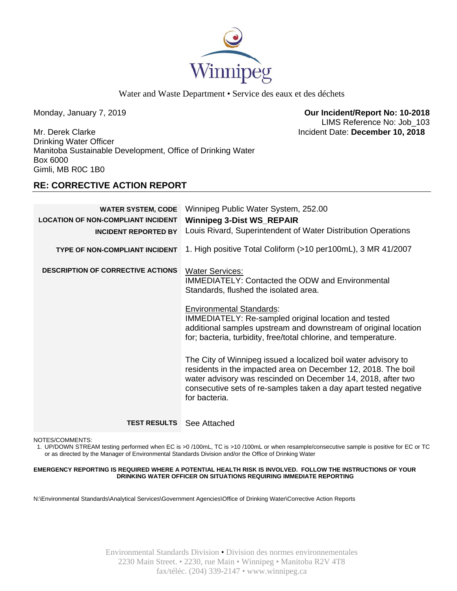

Water and Waste Department • Service des eaux et des déchets

Monday, January 7, 2019 **Our Incident/Report No: 10-2018**  LIMS Reference No: Job\_103

Mr. Derek Clarke Incident Date: **December 10, 2018**  Drinking Water Officer Manitoba Sustainable Development, Office of Drinking Water Box 6000 Gimli, MB R0C 1B0

# **RE: CORRECTIVE ACTION REPORT**

| <b>WATER SYSTEM, CODE</b><br><b>LOCATION OF NON-COMPLIANT INCIDENT</b><br><b>INCIDENT REPORTED BY</b> | Winnipeg Public Water System, 252.00<br><b>Winnipeg 3-Dist WS_REPAIR</b><br>Louis Rivard, Superintendent of Water Distribution Operations                                                                                                                                                                                                                   |
|-------------------------------------------------------------------------------------------------------|-------------------------------------------------------------------------------------------------------------------------------------------------------------------------------------------------------------------------------------------------------------------------------------------------------------------------------------------------------------|
| <b>TYPE OF NON-COMPLIANT INCIDENT</b>                                                                 | 1. High positive Total Coliform (>10 per100mL), 3 MR 41/2007                                                                                                                                                                                                                                                                                                |
| <b>DESCRIPTION OF CORRECTIVE ACTIONS</b>                                                              | <b>Water Services:</b><br><b>IMMEDIATELY: Contacted the ODW and Environmental</b><br>Standards, flushed the isolated area.<br><b>Environmental Standards:</b><br>IMMEDIATELY: Re-sampled original location and tested<br>additional samples upstream and downstream of original location<br>for; bacteria, turbidity, free/total chlorine, and temperature. |
|                                                                                                       | The City of Winnipeg issued a localized boil water advisory to<br>residents in the impacted area on December 12, 2018. The boil<br>water advisory was rescinded on December 14, 2018, after two<br>consecutive sets of re-samples taken a day apart tested negative<br>for bacteria.                                                                        |
| <b>TEST RESULTS</b>                                                                                   | See Attached                                                                                                                                                                                                                                                                                                                                                |

NOTES/COMMENTS:

1. UP/DOWN STREAM testing performed when EC is >0 /100mL, TC is >10 /100mL or when resample/consecutive sample is positive for EC or TC or as directed by the Manager of Environmental Standards Division and/or the Office of Drinking Water

## **EMERGENCY REPORTING IS REQUIRED WHERE A POTENTIAL HEALTH RISK IS INVOLVED. FOLLOW THE INSTRUCTIONS OF YOUR DRINKING WATER OFFICER ON SITUATIONS REQUIRING IMMEDIATE REPORTING**

N:\Environmental Standards\Analytical Services\Government Agencies\Office of Drinking Water\Corrective Action Reports